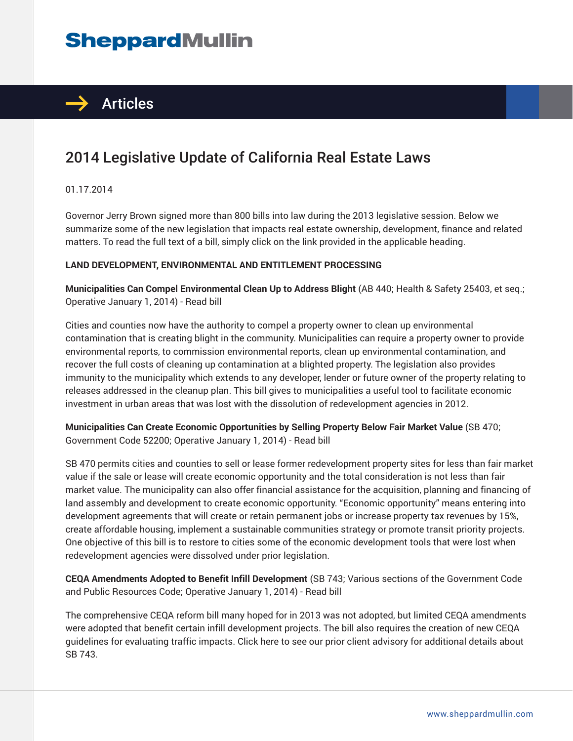# **SheppardMullin**



## 2014 Legislative Update of California Real Estate Laws

01.17.2014

Governor Jerry Brown signed more than 800 bills into law during the 2013 legislative session. Below we summarize some of the new legislation that impacts real estate ownership, development, finance and related matters. To read the full text of a bill, simply click on the link provided in the applicable heading.

#### **LAND DEVELOPMENT, ENVIRONMENTAL AND ENTITLEMENT PROCESSING**

**Municipalities Can Compel Environmental Clean Up to Address Blight** (AB 440; Health & Safety 25403, et seq.; Operative January 1, 2014) - Read bill

Cities and counties now have the authority to compel a property owner to clean up environmental contamination that is creating blight in the community. Municipalities can require a property owner to provide environmental reports, to commission environmental reports, clean up environmental contamination, and recover the full costs of cleaning up contamination at a blighted property. The legislation also provides immunity to the municipality which extends to any developer, lender or future owner of the property relating to releases addressed in the cleanup plan. This bill gives to municipalities a useful tool to facilitate economic investment in urban areas that was lost with the dissolution of redevelopment agencies in 2012.

**Municipalities Can Create Economic Opportunities by Selling Property Below Fair Market Value** (SB 470; Government Code 52200; Operative January 1, 2014) - Read bill

SB 470 permits cities and counties to sell or lease former redevelopment property sites for less than fair market value if the sale or lease will create economic opportunity and the total consideration is not less than fair market value. The municipality can also offer financial assistance for the acquisition, planning and financing of land assembly and development to create economic opportunity. "Economic opportunity" means entering into development agreements that will create or retain permanent jobs or increase property tax revenues by 15%, create affordable housing, implement a sustainable communities strategy or promote transit priority projects. One objective of this bill is to restore to cities some of the economic development tools that were lost when redevelopment agencies were dissolved under prior legislation.

**CEQA Amendments Adopted to Benefit Infill Development** (SB 743; Various sections of the Government Code and Public Resources Code; Operative January 1, 2014) - Read bill

The comprehensive CEQA reform bill many hoped for in 2013 was not adopted, but limited CEQA amendments were adopted that benefit certain infill development projects. The bill also requires the creation of new CEQA guidelines for evaluating traffic impacts. Click here to see our prior client advisory for additional details about SB 743.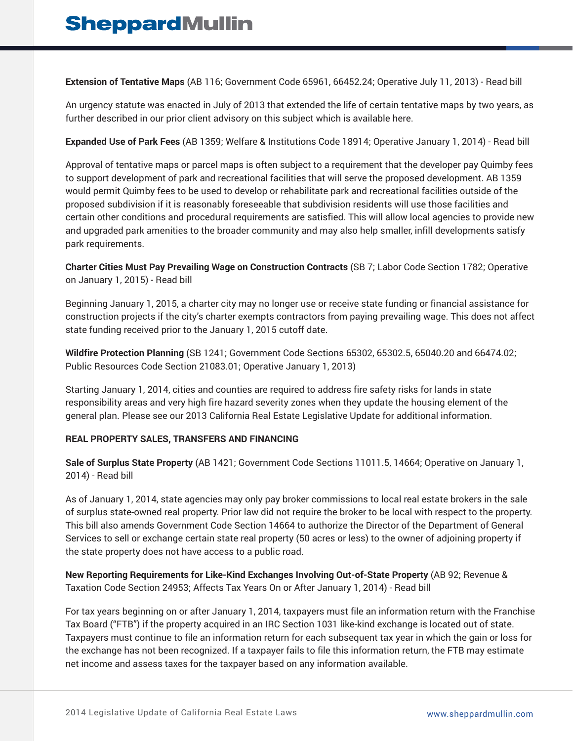**Extension of Tentative Maps** (AB 116; Government Code 65961, 66452.24; Operative July 11, 2013) - Read bill

An urgency statute was enacted in July of 2013 that extended the life of certain tentative maps by two years, as further described in our prior client advisory on this subject which is available here.

**Expanded Use of Park Fees** (AB 1359; Welfare & Institutions Code 18914; Operative January 1, 2014) - Read bill

Approval of tentative maps or parcel maps is often subject to a requirement that the developer pay Quimby fees to support development of park and recreational facilities that will serve the proposed development. AB 1359 would permit Quimby fees to be used to develop or rehabilitate park and recreational facilities outside of the proposed subdivision if it is reasonably foreseeable that subdivision residents will use those facilities and certain other conditions and procedural requirements are satisfied. This will allow local agencies to provide new and upgraded park amenities to the broader community and may also help smaller, infill developments satisfy park requirements.

**Charter Cities Must Pay Prevailing Wage on Construction Contracts** (SB 7; Labor Code Section 1782; Operative on January 1, 2015) - Read bill

Beginning January 1, 2015, a charter city may no longer use or receive state funding or financial assistance for construction projects if the city's charter exempts contractors from paying prevailing wage. This does not affect state funding received prior to the January 1, 2015 cutoff date.

**Wildfire Protection Planning** (SB 1241; Government Code Sections 65302, 65302.5, 65040.20 and 66474.02; Public Resources Code Section 21083.01; Operative January 1, 2013)

Starting January 1, 2014, cities and counties are required to address fire safety risks for lands in state responsibility areas and very high fire hazard severity zones when they update the housing element of the general plan. Please see our 2013 California Real Estate Legislative Update for additional information.

### **REAL PROPERTY SALES, TRANSFERS AND FINANCING**

**Sale of Surplus State Property** (AB 1421; Government Code Sections 11011.5, 14664; Operative on January 1, 2014) - Read bill

As of January 1, 2014, state agencies may only pay broker commissions to local real estate brokers in the sale of surplus state-owned real property. Prior law did not require the broker to be local with respect to the property. This bill also amends Government Code Section 14664 to authorize the Director of the Department of General Services to sell or exchange certain state real property (50 acres or less) to the owner of adjoining property if the state property does not have access to a public road.

**New Reporting Requirements for Like-Kind Exchanges Involving Out-of-State Property** (AB 92; Revenue & Taxation Code Section 24953; Affects Tax Years On or After January 1, 2014) - Read bill

For tax years beginning on or after January 1, 2014, taxpayers must file an information return with the Franchise Tax Board ("FTB") if the property acquired in an IRC Section 1031 like-kind exchange is located out of state. Taxpayers must continue to file an information return for each subsequent tax year in which the gain or loss for the exchange has not been recognized. If a taxpayer fails to file this information return, the FTB may estimate net income and assess taxes for the taxpayer based on any information available.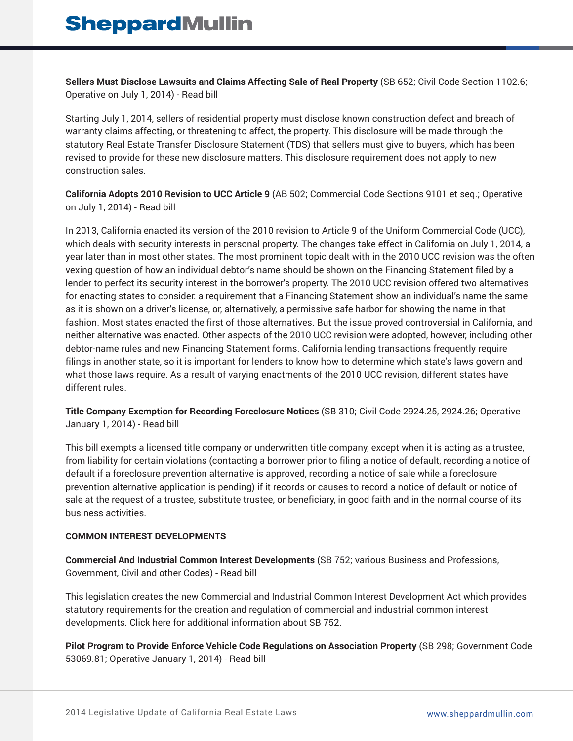**Sellers Must Disclose Lawsuits and Claims Affecting Sale of Real Property** (SB 652; Civil Code Section 1102.6; Operative on July 1, 2014) - Read bill

Starting July 1, 2014, sellers of residential property must disclose known construction defect and breach of warranty claims affecting, or threatening to affect, the property. This disclosure will be made through the statutory Real Estate Transfer Disclosure Statement (TDS) that sellers must give to buyers, which has been revised to provide for these new disclosure matters. This disclosure requirement does not apply to new construction sales.

**California Adopts 2010 Revision to UCC Article 9** (AB 502; Commercial Code Sections 9101 et seq.; Operative on July 1, 2014) - Read bill

In 2013, California enacted its version of the 2010 revision to Article 9 of the Uniform Commercial Code (UCC), which deals with security interests in personal property. The changes take effect in California on July 1, 2014, a year later than in most other states. The most prominent topic dealt with in the 2010 UCC revision was the often vexing question of how an individual debtor's name should be shown on the Financing Statement filed by a lender to perfect its security interest in the borrower's property. The 2010 UCC revision offered two alternatives for enacting states to consider: a requirement that a Financing Statement show an individual's name the same as it is shown on a driver's license, or, alternatively, a permissive safe harbor for showing the name in that fashion. Most states enacted the first of those alternatives. But the issue proved controversial in California, and neither alternative was enacted. Other aspects of the 2010 UCC revision were adopted, however, including other debtor-name rules and new Financing Statement forms. California lending transactions frequently require filings in another state, so it is important for lenders to know how to determine which state's laws govern and what those laws require. As a result of varying enactments of the 2010 UCC revision, different states have different rules.

**Title Company Exemption for Recording Foreclosure Notices** (SB 310; Civil Code 2924.25, 2924.26; Operative January 1, 2014) - Read bill

This bill exempts a licensed title company or underwritten title company, except when it is acting as a trustee, from liability for certain violations (contacting a borrower prior to filing a notice of default, recording a notice of default if a foreclosure prevention alternative is approved, recording a notice of sale while a foreclosure prevention alternative application is pending) if it records or causes to record a notice of default or notice of sale at the request of a trustee, substitute trustee, or beneficiary, in good faith and in the normal course of its business activities.

### **COMMON INTEREST DEVELOPMENTS**

**Commercial And Industrial Common Interest Developments** (SB 752; various Business and Professions, Government, Civil and other Codes) - Read bill

This legislation creates the new Commercial and Industrial Common Interest Development Act which provides statutory requirements for the creation and regulation of commercial and industrial common interest developments. Click here for additional information about SB 752.

**Pilot Program to Provide Enforce Vehicle Code Regulations on Association Property** (SB 298; Government Code 53069.81; Operative January 1, 2014) - Read bill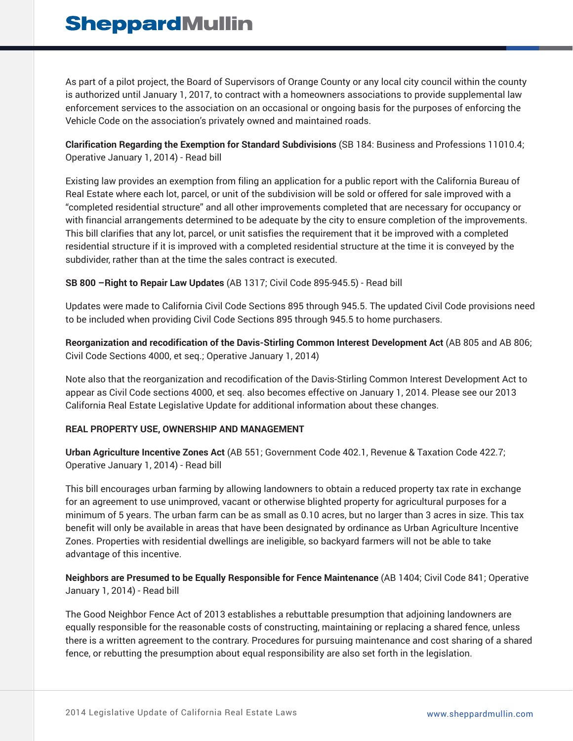## **SheppardMullin**

As part of a pilot project, the Board of Supervisors of Orange County or any local city council within the county is authorized until January 1, 2017, to contract with a homeowners associations to provide supplemental law enforcement services to the association on an occasional or ongoing basis for the purposes of enforcing the Vehicle Code on the association's privately owned and maintained roads.

**Clarification Regarding the Exemption for Standard Subdivisions** (SB 184: Business and Professions 11010.4; Operative January 1, 2014) - Read bill

Existing law provides an exemption from filing an application for a public report with the California Bureau of Real Estate where each lot, parcel, or unit of the subdivision will be sold or offered for sale improved with a "completed residential structure" and all other improvements completed that are necessary for occupancy or with financial arrangements determined to be adequate by the city to ensure completion of the improvements. This bill clarifies that any lot, parcel, or unit satisfies the requirement that it be improved with a completed residential structure if it is improved with a completed residential structure at the time it is conveyed by the subdivider, rather than at the time the sales contract is executed.

### **SB 800 –Right to Repair Law Updates** (AB 1317; Civil Code 895-945.5) - Read bill

Updates were made to California Civil Code Sections 895 through 945.5. The updated Civil Code provisions need to be included when providing Civil Code Sections 895 through 945.5 to home purchasers.

**Reorganization and recodification of the Davis-Stirling Common Interest Development Act** (AB 805 and AB 806; Civil Code Sections 4000, et seq.; Operative January 1, 2014)

Note also that the reorganization and recodification of the Davis-Stirling Common Interest Development Act to appear as Civil Code sections 4000, et seq. also becomes effective on January 1, 2014. Please see our 2013 California Real Estate Legislative Update for additional information about these changes.

### **REAL PROPERTY USE, OWNERSHIP AND MANAGEMENT**

**Urban Agriculture Incentive Zones Act** (AB 551; Government Code 402.1, Revenue & Taxation Code 422.7; Operative January 1, 2014) - Read bill

This bill encourages urban farming by allowing landowners to obtain a reduced property tax rate in exchange for an agreement to use unimproved, vacant or otherwise blighted property for agricultural purposes for a minimum of 5 years. The urban farm can be as small as 0.10 acres, but no larger than 3 acres in size. This tax benefit will only be available in areas that have been designated by ordinance as Urban Agriculture Incentive Zones. Properties with residential dwellings are ineligible, so backyard farmers will not be able to take advantage of this incentive.

**Neighbors are Presumed to be Equally Responsible for Fence Maintenance** (AB 1404; Civil Code 841; Operative January 1, 2014) - Read bill

The Good Neighbor Fence Act of 2013 establishes a rebuttable presumption that adjoining landowners are equally responsible for the reasonable costs of constructing, maintaining or replacing a shared fence, unless there is a written agreement to the contrary. Procedures for pursuing maintenance and cost sharing of a shared fence, or rebutting the presumption about equal responsibility are also set forth in the legislation.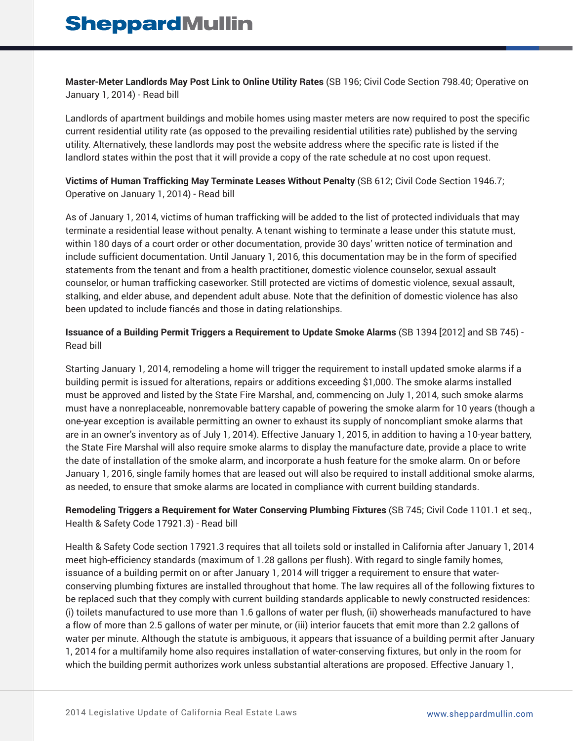**Master-Meter Landlords May Post Link to Online Utility Rates** (SB 196; Civil Code Section 798.40; Operative on January 1, 2014) - Read bill

Landlords of apartment buildings and mobile homes using master meters are now required to post the specific current residential utility rate (as opposed to the prevailing residential utilities rate) published by the serving utility. Alternatively, these landlords may post the website address where the specific rate is listed if the landlord states within the post that it will provide a copy of the rate schedule at no cost upon request.

**Victims of Human Trafficking May Terminate Leases Without Penalty** (SB 612; Civil Code Section 1946.7; Operative on January 1, 2014) - Read bill

As of January 1, 2014, victims of human trafficking will be added to the list of protected individuals that may terminate a residential lease without penalty. A tenant wishing to terminate a lease under this statute must, within 180 days of a court order or other documentation, provide 30 days' written notice of termination and include sufficient documentation. Until January 1, 2016, this documentation may be in the form of specified statements from the tenant and from a health practitioner, domestic violence counselor, sexual assault counselor, or human trafficking caseworker. Still protected are victims of domestic violence, sexual assault, stalking, and elder abuse, and dependent adult abuse. Note that the definition of domestic violence has also been updated to include fiancés and those in dating relationships.

**Issuance of a Building Permit Triggers a Requirement to Update Smoke Alarms** (SB 1394 [2012] and SB 745) - Read bill

Starting January 1, 2014, remodeling a home will trigger the requirement to install updated smoke alarms if a building permit is issued for alterations, repairs or additions exceeding \$1,000. The smoke alarms installed must be approved and listed by the State Fire Marshal, and, commencing on July 1, 2014, such smoke alarms must have a nonreplaceable, nonremovable battery capable of powering the smoke alarm for 10 years (though a one-year exception is available permitting an owner to exhaust its supply of noncompliant smoke alarms that are in an owner's inventory as of July 1, 2014). Effective January 1, 2015, in addition to having a 10-year battery, the State Fire Marshal will also require smoke alarms to display the manufacture date, provide a place to write the date of installation of the smoke alarm, and incorporate a hush feature for the smoke alarm. On or before January 1, 2016, single family homes that are leased out will also be required to install additional smoke alarms, as needed, to ensure that smoke alarms are located in compliance with current building standards.

**Remodeling Triggers a Requirement for Water Conserving Plumbing Fixtures** (SB 745; Civil Code 1101.1 et seq., Health & Safety Code 17921.3) - Read bill

Health & Safety Code section 17921.3 requires that all toilets sold or installed in California after January 1, 2014 meet high-efficiency standards (maximum of 1.28 gallons per flush). With regard to single family homes, issuance of a building permit on or after January 1, 2014 will trigger a requirement to ensure that waterconserving plumbing fixtures are installed throughout that home. The law requires all of the following fixtures to be replaced such that they comply with current building standards applicable to newly constructed residences: (i) toilets manufactured to use more than 1.6 gallons of water per flush, (ii) showerheads manufactured to have a flow of more than 2.5 gallons of water per minute, or (iii) interior faucets that emit more than 2.2 gallons of water per minute. Although the statute is ambiguous, it appears that issuance of a building permit after January 1, 2014 for a multifamily home also requires installation of water-conserving fixtures, but only in the room for which the building permit authorizes work unless substantial alterations are proposed. Effective January 1,